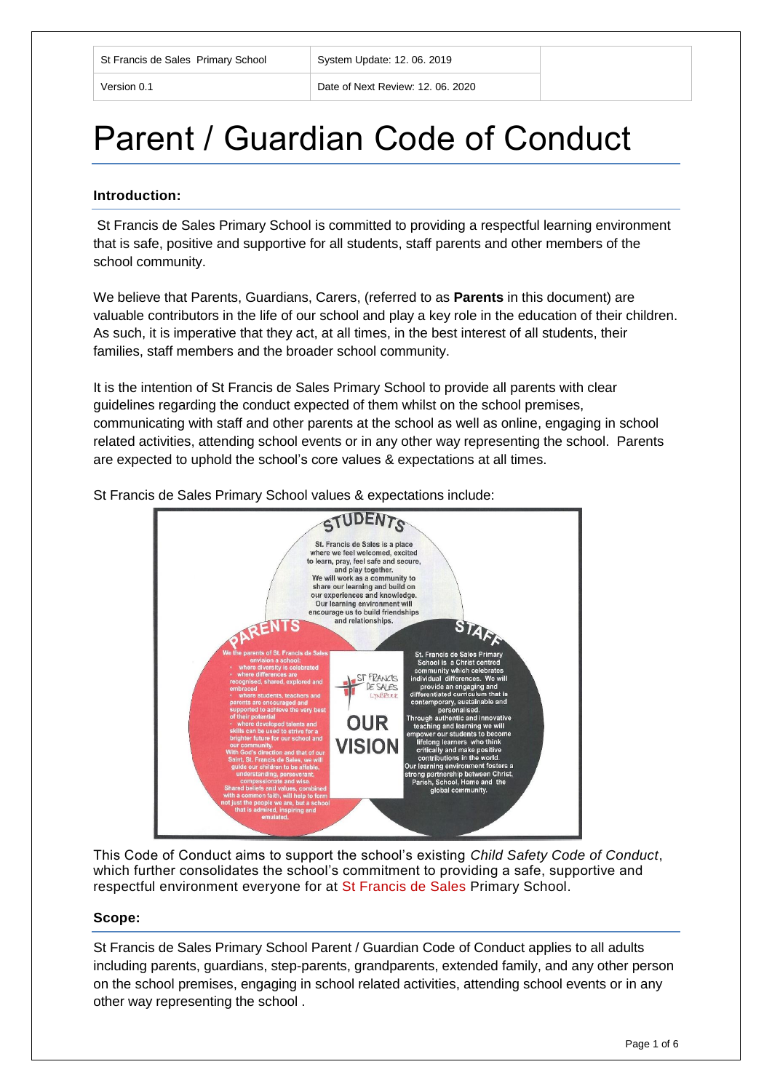Version 0.1 Date of Next Review: 12. 06. 2020

# Parent / Guardian Code of Conduct

#### **Introduction:**

St Francis de Sales Primary School is committed to providing a respectful learning environment that is safe, positive and supportive for all students, staff parents and other members of the school community.

We believe that Parents, Guardians, Carers, (referred to as **Parents** in this document) are valuable contributors in the life of our school and play a key role in the education of their children. As such, it is imperative that they act, at all times, in the best interest of all students, their families, staff members and the broader school community.

It is the intention of St Francis de Sales Primary School to provide all parents with clear guidelines regarding the conduct expected of them whilst on the school premises, communicating with staff and other parents at the school as well as online, engaging in school related activities, attending school events or in any other way representing the school. Parents are expected to uphold the school's core values & expectations at all times.

St Francis de Sales Primary School values & expectations include:



This Code of Conduct aims to support the school's existing *Child Safety Code of Conduct*, which further consolidates the school's commitment to providing a safe, supportive and respectful environment everyone for at St Francis de Sales Primary School.

#### **Scope:**

St Francis de Sales Primary School Parent / Guardian Code of Conduct applies to all adults including parents, guardians, step-parents, grandparents, extended family, and any other person on the school premises, engaging in school related activities, attending school events or in any other way representing the school .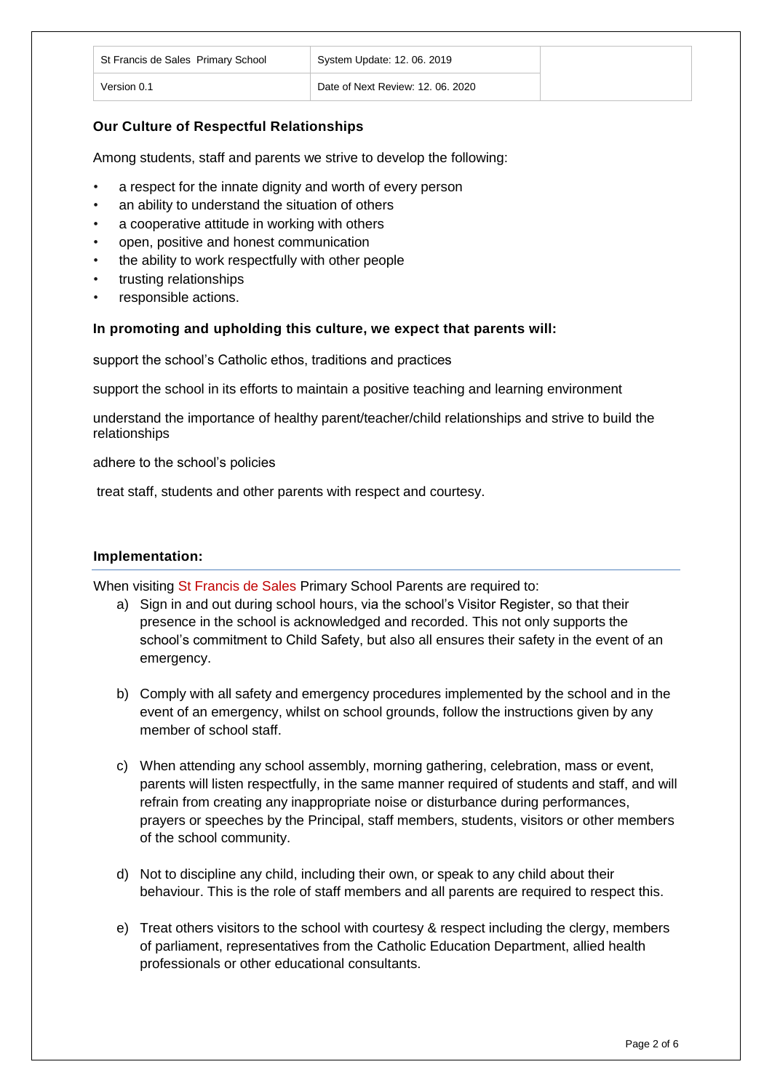| St Francis de Sales Primary School | System Update: 12, 06, 2019       |
|------------------------------------|-----------------------------------|
| Version 0.1                        | Date of Next Review: 12, 06, 2020 |

# **Our Culture of Respectful Relationships**

Among students, staff and parents we strive to develop the following:

- a respect for the innate dignity and worth of every person
- an ability to understand the situation of others
- a cooperative attitude in working with others
- open, positive and honest communication
- the ability to work respectfully with other people
- trusting relationships
- responsible actions.

#### **In promoting and upholding this culture, we expect that parents will:**

support the school's Catholic ethos, traditions and practices

support the school in its efforts to maintain a positive teaching and learning environment

understand the importance of healthy parent/teacher/child relationships and strive to build the relationships

adhere to the school's policies

treat staff, students and other parents with respect and courtesy.

#### **Implementation:**

When visiting St Francis de Sales Primary School Parents are required to:

- a) Sign in and out during school hours, via the school's Visitor Register, so that their presence in the school is acknowledged and recorded. This not only supports the school's commitment to Child Safety, but also all ensures their safety in the event of an emergency.
- b) Comply with all safety and emergency procedures implemented by the school and in the event of an emergency, whilst on school grounds, follow the instructions given by any member of school staff.
- c) When attending any school assembly, morning gathering, celebration, mass or event, parents will listen respectfully, in the same manner required of students and staff, and will refrain from creating any inappropriate noise or disturbance during performances, prayers or speeches by the Principal, staff members, students, visitors or other members of the school community.
- d) Not to discipline any child, including their own, or speak to any child about their behaviour. This is the role of staff members and all parents are required to respect this.
- e) Treat others visitors to the school with courtesy & respect including the clergy, members of parliament, representatives from the Catholic Education Department, allied health professionals or other educational consultants.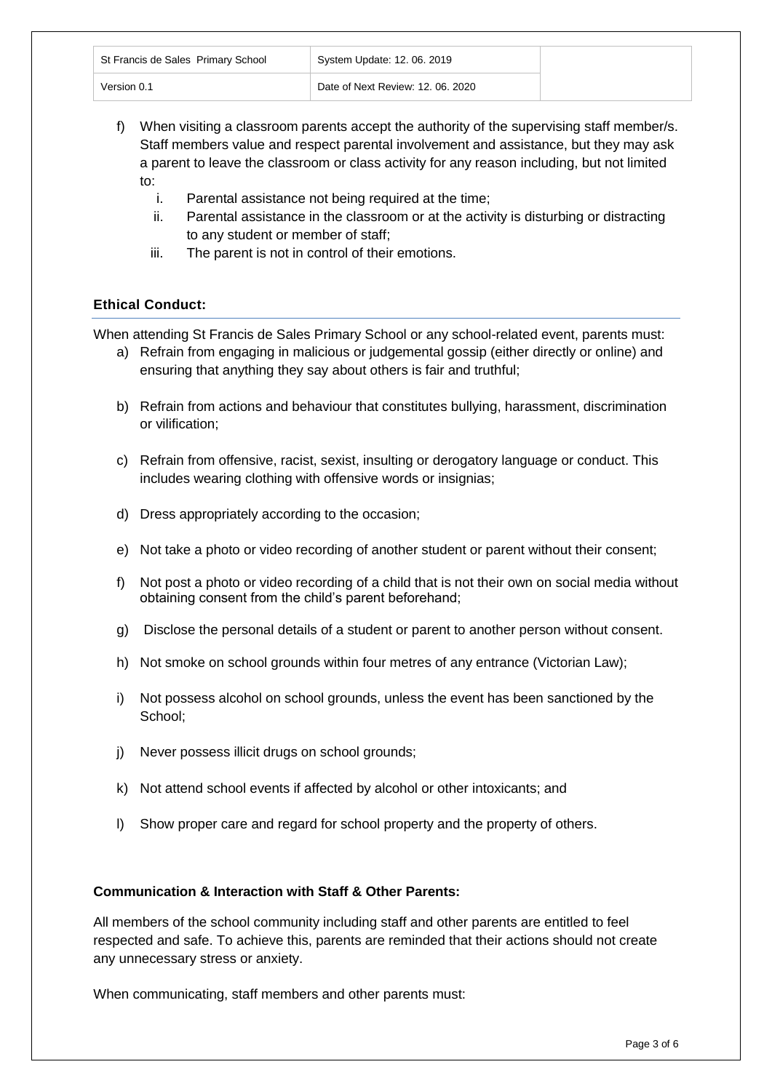| St Francis de Sales Primary School | System Update: 12. 06. 2019       |
|------------------------------------|-----------------------------------|
| Version 0.1                        | Date of Next Review: 12, 06, 2020 |

- f) When visiting a classroom parents accept the authority of the supervising staff member/s. Staff members value and respect parental involvement and assistance, but they may ask a parent to leave the classroom or class activity for any reason including, but not limited to:
	- i. Parental assistance not being required at the time;
	- ii. Parental assistance in the classroom or at the activity is disturbing or distracting to any student or member of staff;
	- iii. The parent is not in control of their emotions.

# **Ethical Conduct:**

When attending St Francis de Sales Primary School or any school-related event, parents must:

- a) Refrain from engaging in malicious or judgemental gossip (either directly or online) and ensuring that anything they say about others is fair and truthful;
- b) Refrain from actions and behaviour that constitutes bullying, harassment, discrimination or vilification;
- c) Refrain from offensive, racist, sexist, insulting or derogatory language or conduct. This includes wearing clothing with offensive words or insignias;
- d) Dress appropriately according to the occasion;
- e) Not take a photo or video recording of another student or parent without their consent;
- f) Not post a photo or video recording of a child that is not their own on social media without obtaining consent from the child's parent beforehand;
- g) Disclose the personal details of a student or parent to another person without consent.
- h) Not smoke on school grounds within four metres of any entrance (Victorian Law);
- i) Not possess alcohol on school grounds, unless the event has been sanctioned by the School;
- j) Never possess illicit drugs on school grounds;
- k) Not attend school events if affected by alcohol or other intoxicants; and
- l) Show proper care and regard for school property and the property of others.

#### **Communication & Interaction with Staff & Other Parents:**

All members of the school community including staff and other parents are entitled to feel respected and safe. To achieve this, parents are reminded that their actions should not create any unnecessary stress or anxiety.

When communicating, staff members and other parents must: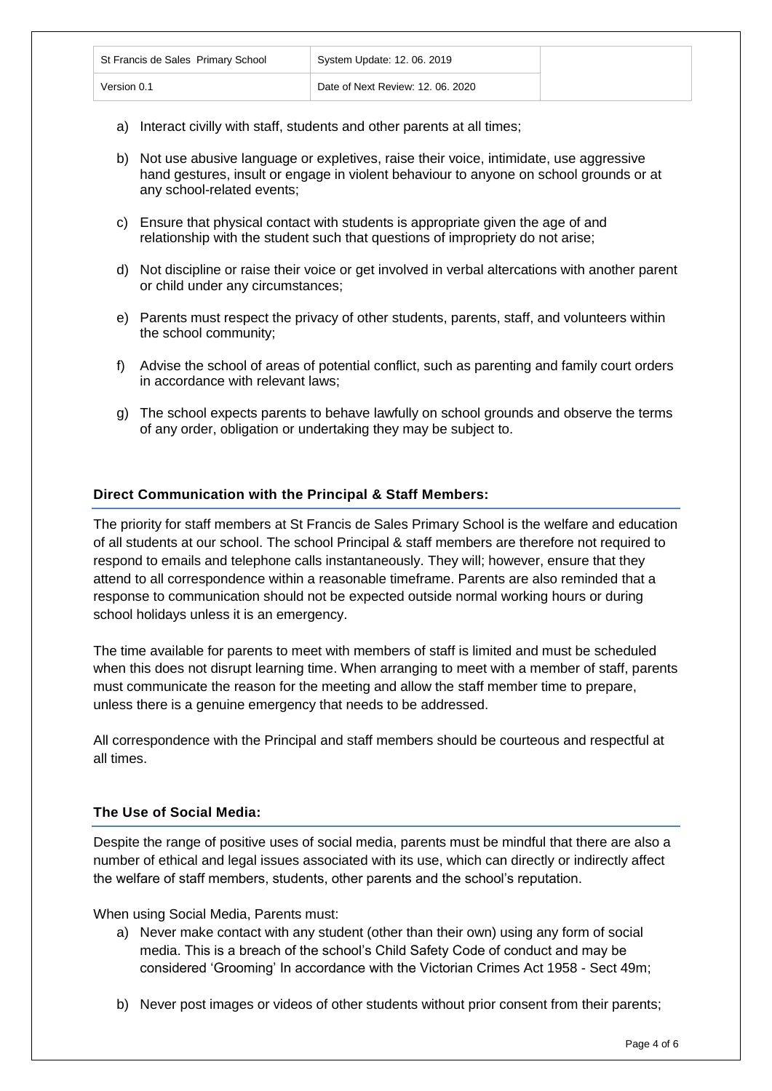| St Francis de Sales Primary School | System Update: 12. 06. 2019       |
|------------------------------------|-----------------------------------|
| Version 0.1                        | Date of Next Review: 12, 06, 2020 |

- a) Interact civilly with staff, students and other parents at all times;
- b) Not use abusive language or expletives, raise their voice, intimidate, use aggressive hand gestures, insult or engage in violent behaviour to anyone on school grounds or at any school-related events;
- c) Ensure that physical contact with students is appropriate given the age of and relationship with the student such that questions of impropriety do not arise;
- d) Not discipline or raise their voice or get involved in verbal altercations with another parent or child under any circumstances;
- e) Parents must respect the privacy of other students, parents, staff, and volunteers within the school community;
- f) Advise the school of areas of potential conflict, such as parenting and family court orders in accordance with relevant laws;
- g) The school expects parents to behave lawfully on school grounds and observe the terms of any order, obligation or undertaking they may be subject to.

#### **Direct Communication with the Principal & Staff Members:**

The priority for staff members at St Francis de Sales Primary School is the welfare and education of all students at our school. The school Principal & staff members are therefore not required to respond to emails and telephone calls instantaneously. They will; however, ensure that they attend to all correspondence within a reasonable timeframe. Parents are also reminded that a response to communication should not be expected outside normal working hours or during school holidays unless it is an emergency.

The time available for parents to meet with members of staff is limited and must be scheduled when this does not disrupt learning time. When arranging to meet with a member of staff, parents must communicate the reason for the meeting and allow the staff member time to prepare, unless there is a genuine emergency that needs to be addressed.

All correspondence with the Principal and staff members should be courteous and respectful at all times.

#### **The Use of Social Media:**

Despite the range of positive uses of social media, parents must be mindful that there are also a number of ethical and legal issues associated with its use, which can directly or indirectly affect the welfare of staff members, students, other parents and the school's reputation.

When using Social Media, Parents must:

- a) Never make contact with any student (other than their own) using any form of social media. This is a breach of the school's Child Safety Code of conduct and may be considered 'Grooming' In accordance with the Victorian Crimes Act 1958 - Sect 49m;
- b) Never post images or videos of other students without prior consent from their parents;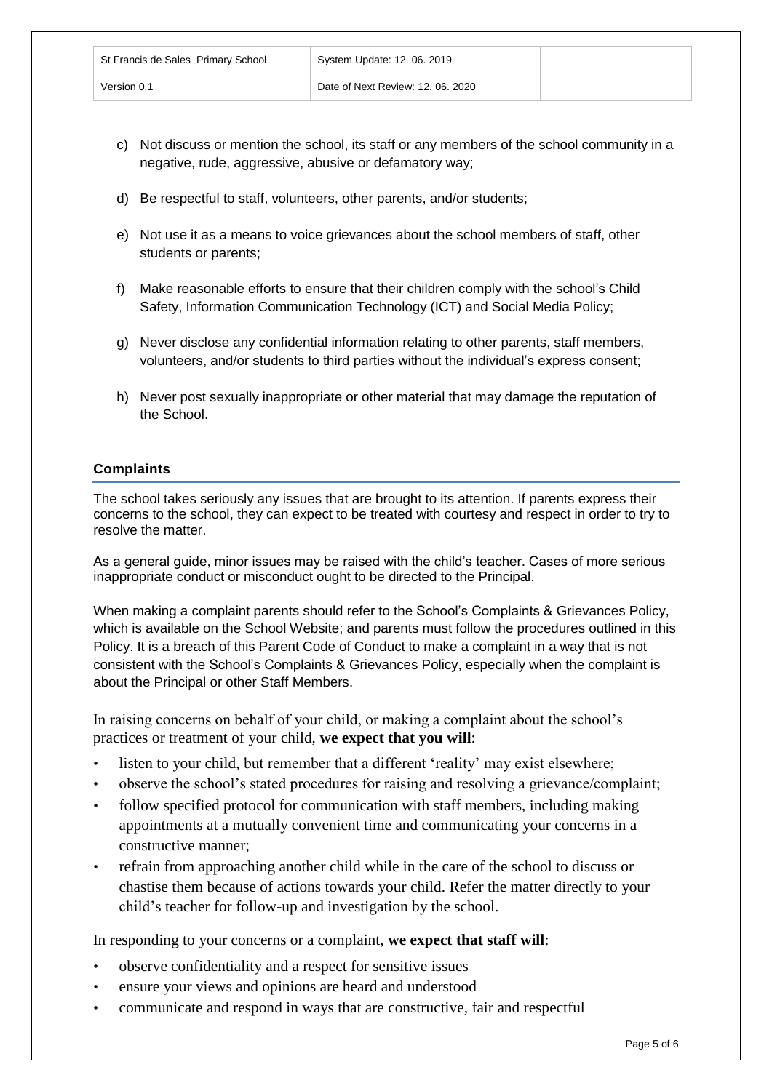| St Francis de Sales Primary School | System Update: 12, 06, 2019       |
|------------------------------------|-----------------------------------|
| Version 0.1                        | Date of Next Review: 12, 06, 2020 |

- c) Not discuss or mention the school, its staff or any members of the school community in a negative, rude, aggressive, abusive or defamatory way;
- d) Be respectful to staff, volunteers, other parents, and/or students;
- e) Not use it as a means to voice grievances about the school members of staff, other students or parents;
- f) Make reasonable efforts to ensure that their children comply with the school's Child Safety, Information Communication Technology (ICT) and Social Media Policy;
- g) Never disclose any confidential information relating to other parents, staff members, volunteers, and/or students to third parties without the individual's express consent;
- h) Never post sexually inappropriate or other material that may damage the reputation of the School.

# **Complaints**

The school takes seriously any issues that are brought to its attention. If parents express their concerns to the school, they can expect to be treated with courtesy and respect in order to try to resolve the matter.

As a general guide, minor issues may be raised with the child's teacher. Cases of more serious inappropriate conduct or misconduct ought to be directed to the Principal.

When making a complaint parents should refer to the School's Complaints & Grievances Policy, which is available on the School Website; and parents must follow the procedures outlined in this Policy. It is a breach of this Parent Code of Conduct to make a complaint in a way that is not consistent with the School's Complaints & Grievances Policy, especially when the complaint is about the Principal or other Staff Members.

In raising concerns on behalf of your child, or making a complaint about the school's practices or treatment of your child, **we expect that you will**:

- listen to your child, but remember that a different 'reality' may exist elsewhere;
- observe the school's stated procedures for raising and resolving a grievance/complaint;
- follow specified protocol for communication with staff members, including making appointments at a mutually convenient time and communicating your concerns in a constructive manner;
- refrain from approaching another child while in the care of the school to discuss or chastise them because of actions towards your child. Refer the matter directly to your child's teacher for follow-up and investigation by the school.

In responding to your concerns or a complaint, **we expect that staff will**:

- observe confidentiality and a respect for sensitive issues
- ensure your views and opinions are heard and understood
- communicate and respond in ways that are constructive, fair and respectful